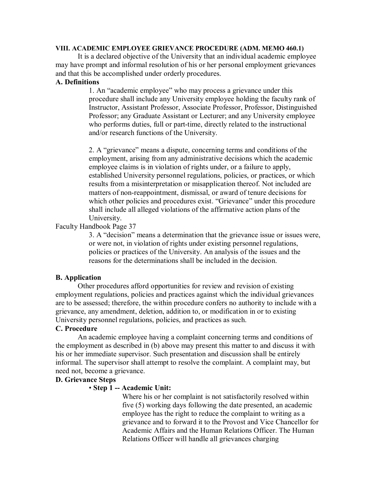#### **VIII. ACADEMIC EMPLOYEE GRIEVANCE PROCEDURE (ADM. MEMO 460.1)**

It is a declared objective of the University that an individual academic employee may have prompt and informal resolution of his or her personal employment grievances and that this be accomplished under orderly procedures.

## **A. Definitions**

1. An "academic employee" who may process a grievance under this procedure shall include any University employee holding the faculty rank of Instructor, Assistant Professor, Associate Professor, Professor, Distinguished Professor; any Graduate Assistant or Lecturer; and any University employee who performs duties, full or part-time, directly related to the instructional and/or research functions of the University.

2. A "grievance" means a dispute, concerning terms and conditions of the employment, arising from any administrative decisions which the academic employee claims is in violation of rights under, or a failure to apply, established University personnel regulations, policies, or practices, or which results from a misinterpretation or misapplication thereof. Not included are matters of non-reappointment, dismissal, or award of tenure decisions for which other policies and procedures exist. "Grievance" under this procedure shall include all alleged violations of the affirmative action plans of the University.

### Faculty Handbook Page 37

3. A "decision" means a determination that the grievance issue or issues were, or were not, in violation of rights under existing personnel regulations, policies or practices of the University. An analysis of the issues and the reasons for the determinations shall be included in the decision.

## **B. Application**

Other procedures afford opportunities for review and revision of existing employment regulations, policies and practices against which the individual grievances are to be assessed; therefore, the within procedure confers no authority to include with a grievance, any amendment, deletion, addition to, or modification in or to existing University personnel regulations, policies, and practices as such.

#### **C. Procedure**

An academic employee having a complaint concerning terms and conditions of the employment as described in (b) above may present this matter to and discuss it with his or her immediate supervisor. Such presentation and discussion shall be entirely informal. The supervisor shall attempt to resolve the complaint. A complaint may, but need not, become a grievance.

### **D. Grievance Steps**

### • Step 1 -- Academic Unit:

Where his or her complaint is not satisfactorily resolved within five (5) working days following the date presented, an academic employee has the right to reduce the complaint to writing as a grievance and to forward it to the Provost and Vice Chancellor for Academic Affairs and the Human Relations Officer. The Human Relations Officer will handle all grievances charging